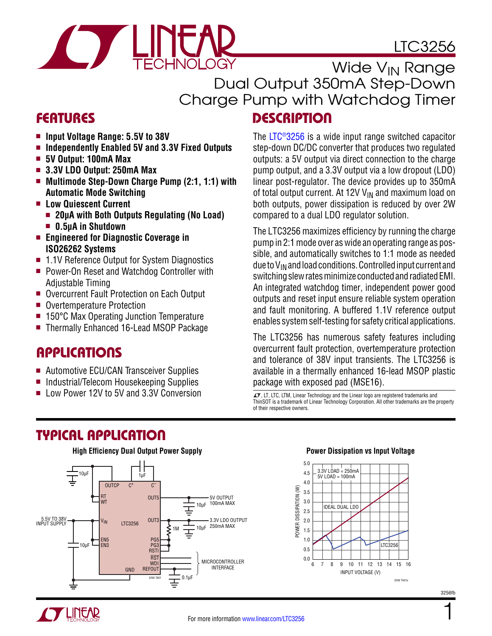# LTC3256



Wide V<sub>IN</sub> Range Dual Output 350mA Step-Down Charge Pump with Watchdog Timer

### Features Description

- Input Voltage Range: 5.5V to 38V
- Independently Enabled 5V and 3.3V Fixed Outputs
- <sup>n</sup> **5V Output: 100mA Max**
- <sup>n</sup> **3.3V LDO Output: 250mA Max**
- Multimode Step-Down Charge Pump (2:1, 1:1) with **Automatic Mode Switching**
- <sup>n</sup> **Low Quiescent Current**
	- **n** 20μA with Both Outputs Regulating (No Load)
	- 0.5uA in Shutdown
- Engineered for Diagnostic Coverage in **ISO26262 Systems**
- 1.1V Reference Output for System Diagnostics
- Power-On Reset and Watchdog Controller with Adjustable Timing
- Overcurrent Fault Protection on Each Output
- Overtemperature Protection
- 150°C Max Operating Junction Temperature
- Thermally Enhanced 16-Lead MSOP Package

### **APPLICATIONS**

- Automotive ECU/CAN Transceiver Supplies
- Industrial/Telecom Housekeeping Supplies
- **n** Low Power 12V to 5V and 3.3V Conversion  $\sigma$ , LT, LTC, LTM, Linear Technology and the Linear logo are registered trademarks and

The [LTC®3256](http://www.linear.com/LTC3256) is a wide input range switched capacitor step-down DC/DC converter that produces two regulated outputs: a 5V output via direct connection to the charge pump output, and a 3.3V output via a low dropout (LDO) linear post-regulator. The device provides up to 350mA of total output current. At 12V  $V_{IN}$  and maximum load on both outputs, power dissipation is reduced by over 2W compared to a dual LDO regulator solution.

The LTC3256 maximizes efficiency by running the charge pump in 2:1 mode over as wide an operating range as possible, and automatically switches to 1:1 mode as needed due to  $V_{IN}$  and load conditions. Controlled input current and switching slew rates minimize conducted and radiated EMI. An integrated watchdog timer, independent power good outputs and reset input ensure reliable system operation and fault monitoring. A buffered 1.1V reference output enables system self-testing for safety critical applications.

The LTC3256 has numerous safety features including overcurrent fault protection, overtemperature protection and tolerance of 38V input transients. The LTC3256 is available in a thermally enhanced 16-lead MSOP plastic package with exposed pad (MSE16).

ThinSOT is a trademark of Linear Technology Corporation. All other trademarks are the property of their respective owners.

## Typical Application





1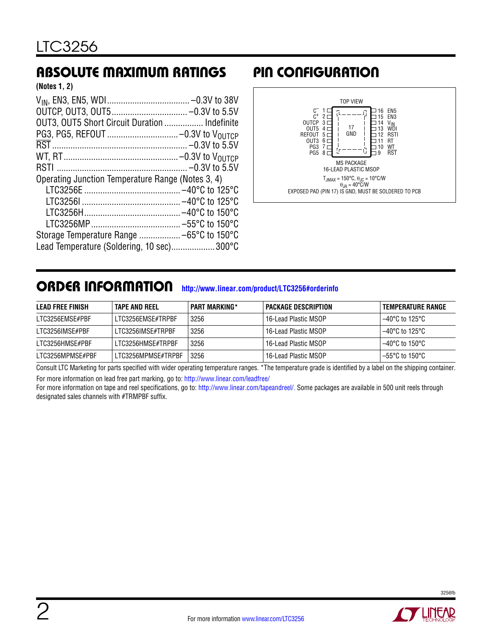### Absolute Maximum Ratings Pin Configuration

**(Notes 1, 2)**

| OUT3, OUT5 Short Circuit Duration  Indefinite<br>Operating Junction Temperature Range (Notes 3, 4) |  |
|----------------------------------------------------------------------------------------------------|--|
|                                                                                                    |  |
|                                                                                                    |  |
|                                                                                                    |  |
|                                                                                                    |  |
|                                                                                                    |  |
|                                                                                                    |  |
|                                                                                                    |  |
|                                                                                                    |  |
|                                                                                                    |  |
|                                                                                                    |  |
|                                                                                                    |  |
|                                                                                                    |  |
| Lead Temperature (Soldering, 10 sec)300°C                                                          |  |
|                                                                                                    |  |



### ORDER INFORMATION <http://www.linear.com/product/LTC3256#orderinfo>

| LEAD FREE FINISH | <b>TAPE AND REEL</b> | <b>PART MARKING*</b> | PACKAGE DESCRIPTION  | TEMPERATURE RANGE             |
|------------------|----------------------|----------------------|----------------------|-------------------------------|
| LTC3256EMSE#PBF  | LTC3256EMSE#TRPBF    | 3256                 | 16-Lead Plastic MSOP | $-40^{\circ}$ C to 125°C $\,$ |
| LTC3256IMSE#PBF  | LTC3256IMSE#TRPBF    | 3256                 | 16-Lead Plastic MSOP | $-40^{\circ}$ C to 125°C      |
| LTC3256HMSE#PBF  | LTC3256HMSE#TRPBF    | 3256                 | 16-Lead Plastic MSOP | $-40^{\circ}$ C to 150°C      |
| LTC3256MPMSE#PBF | LTC3256MPMSE#TRPBF   | 3256                 | 16-Lead Plastic MSOP | $-55^{\circ}$ C to 150°C      |

Consult LTC Marketing for parts specified with wider operating temperature ranges. \*The temperature grade is identified by a label on the shipping container. For more information on lead free part marking, go to: http://www.linear.com/leadfree/

For more information on tape and reel specifications, go to: [http://www.linear.com/tapeandreel/.](http://www.linear.com/tapeandreel/) Some packages are available in 500 unit reels through designated sales channels with #TRMPBF suffix.

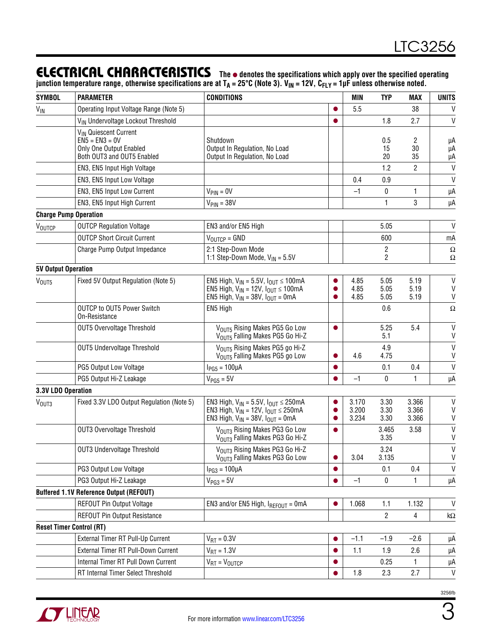### ELECTRICAL CHARACTERISTICS The  $\bullet$  denotes the specifications which apply over the specified operating

junction temperature range, otherwise specifications are at T<sub>A</sub> = 25°C (Note 3). V<sub>IN</sub> = 12V, C<sub>FLY</sub> = 1µF unless otherwise noted.

| <b>SYMBOL</b>              | <b>PARAMETER</b>                                      | <b>CONDITIONS</b>                                                                                                                              |           | <b>MIN</b>              | <b>TYP</b>           | MAX                     | <b>UNITS</b>                 |
|----------------------------|-------------------------------------------------------|------------------------------------------------------------------------------------------------------------------------------------------------|-----------|-------------------------|----------------------|-------------------------|------------------------------|
| $V_{\text{IN}}$            | Operating Input Voltage Range (Note 5)                |                                                                                                                                                |           | 5.5                     |                      | 38                      | V                            |
|                            | VIN Undervoltage Lockout Threshold                    |                                                                                                                                                |           |                         | 1.8                  | 2.7                     | V                            |
|                            | VIN Quiescent Current                                 |                                                                                                                                                |           |                         |                      |                         |                              |
|                            | $EN5 = EN3 = 0V$                                      | Shutdown                                                                                                                                       |           |                         | 0.5                  | 2                       | μA                           |
|                            | Only One Output Enabled<br>Both OUT3 and OUT5 Enabled | Output In Regulation, No Load<br>Output In Regulation, No Load                                                                                 |           |                         | 15<br>20             | 30<br>35                | μA<br>μA                     |
|                            | EN3, EN5 Input High Voltage                           |                                                                                                                                                |           |                         | 1.2                  | $\overline{2}$          | $\mathsf{V}$                 |
|                            | EN3, EN5 Input Low Voltage                            |                                                                                                                                                |           | 0.4                     | 0.9                  |                         | $\mathsf{V}$                 |
|                            | EN3, EN5 Input Low Current                            | $V_{\text{PIN}} = 0V$                                                                                                                          |           | $-1$                    | $\mathbf 0$          | 1                       | μA                           |
|                            | EN3, EN5 Input High Current                           | $V_{\text{PIN}} = 38V$                                                                                                                         |           |                         | $\mathbf{1}$         | 3                       | μA                           |
|                            | <b>Charge Pump Operation</b>                          |                                                                                                                                                |           |                         |                      |                         |                              |
| VOUTCP                     | <b>OUTCP Regulation Voltage</b>                       | EN3 and/or EN5 High                                                                                                                            |           |                         | 5.05                 |                         | V                            |
|                            | <b>OUTCP Short Circuit Current</b>                    | $V_{\text{OUTCP}} =$ GND                                                                                                                       |           |                         | 600                  |                         | mA                           |
|                            | Charge Pump Output Impedance                          | 2:1 Step-Down Mode<br>1:1 Step-Down Mode, $V_{IN} = 5.5V$                                                                                      |           |                         | $\overline{2}$<br>2  |                         | $\Omega$<br>Ω                |
| <b>5V Output Operation</b> |                                                       |                                                                                                                                                |           |                         |                      |                         |                              |
| V <sub>OUT5</sub>          | Fixed 5V Output Regulation (Note 5)                   | EN5 High, $V_{IN} = 5.5V$ , $I_{OUT} \le 100mA$                                                                                                |           | 4.85                    | 5.05                 | 5.19                    | $\mathsf{V}$                 |
|                            |                                                       | EN5 High, $V_{IN} = 12V$ , $I_{OUT} \le 100mA$                                                                                                 |           | 4.85                    | 5.05                 | 5.19                    | V                            |
|                            |                                                       | EN5 High, $V_{IN}$ = 38V, $I_{OUT}$ = 0mA                                                                                                      |           | 4.85                    | 5.05                 | 5.19                    | V                            |
|                            | OUTCP to OUT5 Power Switch<br>On-Resistance           | EN5 High                                                                                                                                       |           |                         | 0.6                  |                         | $\Omega$                     |
|                            | <b>OUT5 Overvoltage Threshold</b>                     | VOUT5 Rising Makes PG5 Go Low<br>VOUT5 Falling Makes PG5 Go Hi-Z                                                                               | $\bullet$ |                         | 5.25<br>5.1          | 5.4                     | $\mathsf{V}$<br>$\sf V$      |
|                            | <b>OUT5 Undervoltage Threshold</b>                    | VOUT5 Rising Makes PG5 go Hi-Z<br>VOUT5 Falling Makes PG5 go Low                                                                               |           | 4.6                     | 4.9<br>4.75          |                         | V<br>$\mathsf{V}$            |
|                            | PG5 Output Low Voltage                                | $I_{PG5} = 100 \mu A$                                                                                                                          |           |                         | 0.1                  | 0.4                     | $\mathsf{V}$                 |
|                            | PG5 Output Hi-Z Leakage                               | $VPG5 = 5V$                                                                                                                                    |           | $-1$                    | 0                    | 1                       | μA                           |
| 3.3V LDO Operation         |                                                       |                                                                                                                                                |           |                         |                      |                         |                              |
| V <sub>OUT3</sub>          | Fixed 3.3V LDO Output Regulation (Note 5)             | EN3 High, $V_{IN} = 5.5V$ , $I_{OUT} \le 250mA$<br>EN3 High, $V_{IN} = 12V$ , $I_{OUT} \le 250mA$<br>EN3 High, $V_{IN}$ = 38V, $I_{OUT}$ = 0mA |           | 3.170<br>3.200<br>3.234 | 3.30<br>3.30<br>3.30 | 3.366<br>3.366<br>3.366 | V<br>V<br>V                  |
|                            | <b>OUT3 Overvoltage Threshold</b>                     | VOUT3 Rising Makes PG3 Go Low<br>V <sub>OUT3</sub> Falling Makes PG3 Go Hi-Z                                                                   |           |                         | 3.465<br>3.35        | 3.58                    | V<br>V                       |
|                            | <b>OUT3 Undervoltage Threshold</b>                    | V <sub>OUT3</sub> Rising Makes PG3 Go Hi-Z<br>VOUT3 Falling Makes PG3 Go Low                                                                   |           | 3.04                    | 3.24<br>3.135        |                         | $\mathsf{V}$<br>$\mathsf{V}$ |
|                            | PG3 Output Low Voltage                                | $I_{PG3} = 100 \mu A$                                                                                                                          |           |                         | 0.1                  | 0.4                     | $\mathsf{V}$                 |
|                            | PG3 Output Hi-Z Leakage                               | $VPG3 = 5V$                                                                                                                                    |           | $-1$                    | $\pmb{0}$            | 1                       | μA                           |
|                            | <b>Buffered 1.1V Reference Output (REFOUT)</b>        |                                                                                                                                                |           |                         |                      |                         |                              |
|                            | REFOUT Pin Output Voltage                             | EN3 and/or EN5 High, $I_{REFOUT} = 0mA$                                                                                                        | $\bullet$ | 1.068                   | 1.1                  | 1.132                   | $\mathsf{V}$                 |
|                            | REFOUT Pin Output Resistance                          |                                                                                                                                                |           |                         | $\overline{2}$       | 4                       | k $\Omega$                   |
|                            | <b>Reset Timer Control (RT)</b>                       |                                                                                                                                                |           |                         |                      |                         |                              |
|                            | External Timer RT Pull-Up Current                     | $V_{RT} = 0.3V$                                                                                                                                | $\bullet$ | $-1.1$                  | $-1.9$               | $-2.6$                  | μA                           |
|                            | External Timer RT Pull-Down Current                   | $V_{\text{RT}} = 1.3V$                                                                                                                         |           | 1.1                     | 1.9                  | 2.6                     | μA                           |
|                            | Internal Timer RT Pull Down Current                   | $V_{RT} = V_{OUTCP}$                                                                                                                           | $\bullet$ |                         | 0.25                 | 1.                      | μA                           |
|                            | RT Internal Timer Select Threshold                    |                                                                                                                                                |           | 1.8                     | 2.3                  | 2.7                     | V                            |
|                            |                                                       |                                                                                                                                                |           |                         |                      |                         |                              |

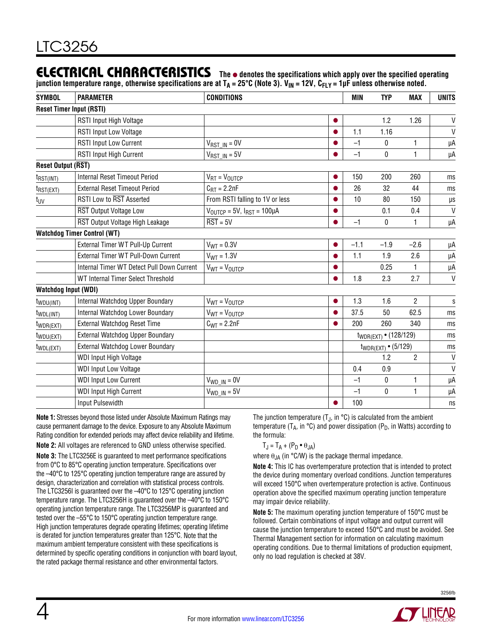### ELECTRICAL CHARACTERISTICS The  $\bullet$  denotes the specifications which apply over the specified operating

junction temperature range, otherwise specifications are at T<sub>A</sub> = 25°C (Note 3). V<sub>IN</sub> = 12V, C<sub>FLY</sub> = 1µF unless otherwise noted.

| <b>SYMBOL</b>               | <b>PARAMETER</b>                           | <b>CONDITIONS</b>                                      |           | <b>MIN</b> | <b>TYP</b>                        | MAX            | <b>UNITS</b> |
|-----------------------------|--------------------------------------------|--------------------------------------------------------|-----------|------------|-----------------------------------|----------------|--------------|
|                             | <b>Reset Timer Input (RSTI)</b>            |                                                        |           |            |                                   |                |              |
|                             | RSTI Input High Voltage                    |                                                        |           |            | 1.2                               | 1.26           | $\mathsf{V}$ |
|                             | <b>RSTI Input Low Voltage</b>              |                                                        |           | 1.1        | 1.16                              |                | $\mathsf{V}$ |
|                             | <b>RSTI Input Low Current</b>              | $V_{RST IN} = 0V$                                      |           | $-1$       | 0                                 | 1              | μA           |
|                             | <b>RSTI Input High Current</b>             | $V_{RST IN} = 5V$                                      |           | $-1$       | 0                                 | 1              | μA           |
| <b>Reset Output (RST)</b>   |                                            |                                                        |           |            |                                   |                |              |
| $t_{RST(INT)}$              | <b>Internal Reset Timeout Period</b>       | $V_{RT} = V_{OUTCP}$                                   | $\bullet$ | 150        | 200                               | 260            | ms           |
| $t_{RST(EXT)}$              | <b>External Reset Timeout Period</b>       | $C_{\text{RT}} = 2.2nF$                                |           | 26         | 32                                | 44             | ms           |
| t <sub>UV</sub>             | RSTI Low to RST Asserted                   | From RSTI falling to 1V or less                        |           | 10         | 80                                | 150            | μs           |
|                             | RST Output Voltage Low                     | $V_{\text{OUTCP}} = 5V$ , $I_{\text{RST}} = 100 \mu A$ |           |            | 0.1                               | 0.4            | $\mathsf{V}$ |
|                             | RST Output Voltage High Leakage            | $\overline{\text{RST}} = 5V$                           |           | $-1$       | 0                                 | 1              | μA           |
|                             | <b>Watchdog Timer Control (WT)</b>         |                                                        |           |            |                                   |                |              |
|                             | External Timer WT Pull-Up Current          | $V_{WT} = 0.3V$                                        | $\bullet$ | $-1.1$     | $-1.9$                            | $-2.6$         | μA           |
|                             | External Timer WT Pull-Down Current        | $V_{WT} = 1.3V$                                        |           | 1.1        | 1.9                               | 2.6            | μA           |
|                             | Internal Timer WT Detect Pull Down Current | $V_{WT} = V_{OUTCP}$                                   |           |            | 0.25                              | $\mathbf{1}$   | μA           |
|                             | WT Internal Timer Select Threshold         |                                                        |           | 1.8        | 2.3                               | 2.7            | $\mathsf{V}$ |
| <b>Watchdog Input (WDI)</b> |                                            |                                                        |           |            |                                   |                |              |
| t <sub>WDU(INT)</sub>       | Internal Watchdog Upper Boundary           | $V_{WT} = V_{OUTCP}$                                   |           | 1.3        | 1.6                               | 2              | S            |
| $t_{WDL(INT)}$              | Internal Watchdog Lower Boundary           | $V_{WT} = V_{OUTCP}$                                   |           | 37.5       | 50                                | 62.5           | ms           |
| t <sub>WDR(EXT)</sub>       | External Watchdog Reset Time               | $C_{WT} = 2.2nF$                                       |           | 200        | 260                               | 340            | ms           |
| t <sub>WDU(EXT)</sub>       | External Watchdog Upper Boundary           |                                                        |           |            | t <sub>WDR(EXT)</sub> • (128/129) |                | ms           |
| t <sub>WDL(EXT)</sub>       | External Watchdog Lower Boundary           |                                                        |           |            | $t_{WDR(EXT)}$ • (5/129)          |                | ms           |
|                             | WDI Input High Voltage                     |                                                        |           |            | 1.2                               | $\overline{2}$ | $\mathsf{V}$ |
|                             | <b>WDI Input Low Voltage</b>               |                                                        |           | 0.4        | 0.9                               |                | V            |
|                             | <b>WDI Input Low Current</b>               | $V_{WD IN} = 0V$                                       |           | $-1$       | $\boldsymbol{0}$                  | 1              | μA           |
|                             | <b>WDI Input High Current</b>              | $V_{WD IN} = 5V$                                       |           | $-1$       | $\pmb{0}$                         | 1              | μA           |
|                             | Input Pulsewidth                           |                                                        |           | 100        |                                   |                | ns           |

**Note 1:** Stresses beyond those listed under Absolute Maximum Ratings may cause permanent damage to the device. Exposure to any Absolute Maximum Rating condition for extended periods may affect device reliability and lifetime. **Note 2:** All voltages are referenced to GND unless otherwise specified. **Note 3:** The LTC3256E is guaranteed to meet performance specifications from 0°C to 85°C operating junction temperature. Specifications over the –40°C to 125°C operating junction temperature range are assured by design, characterization and correlation with statistical process controls. The LTC3256I is guaranteed over the –40°C to 125°C operating junction temperature range. The LTC3256H is guaranteed over the –40°C to 150°C operating junction temperature range. The LTC3256MP is guaranteed and tested over the –55°C to 150°C operating junction temperature range. High junction temperatures degrade operating lifetimes; operating lifetime is derated for junction temperatures greater than 125°C. Note that the maximum ambient temperature consistent with these specifications is determined by specific operating conditions in conjunction with board layout,

the rated package thermal resistance and other environmental factors.

The junction temperature  $(T_J, in \, ^\circ\mathbb{C})$  is calculated from the ambient temperature ( $T_A$ , in  $\degree$ C) and power dissipation ( $P_D$ , in Watts) according to the formula:

$$
T_J = T_A + (P_D \bullet \theta_{JA})
$$

where  $\theta_{JA}$  (in °C/W) is the package thermal impedance.

**Note 4:** This IC has overtemperature protection that is intended to protect the device during momentary overload conditions. Junction temperatures will exceed 150°C when overtemperature protection is active. Continuous operation above the specified maximum operating junction temperature may impair device reliability.

**Note 5:** The maximum operating junction temperature of 150°C must be followed. Certain combinations of input voltage and output current will cause the junction temperature to exceed 150°C and must be avoided. See Thermal Management section for information on calculating maximum operating conditions. Due to thermal limitations of production equipment, only no load regulation is checked at 38V.



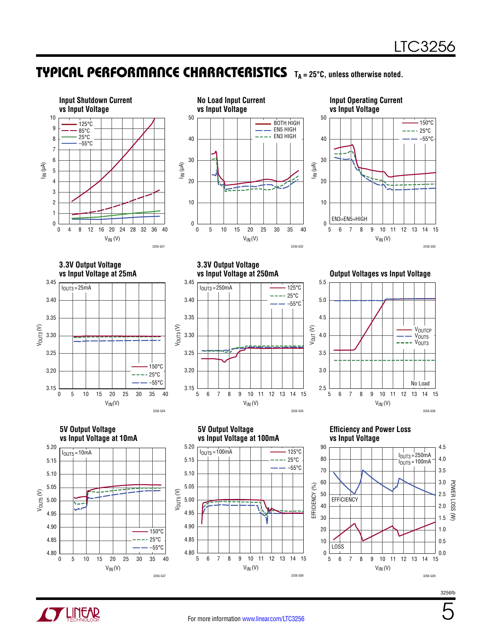### TYPICAL PERFORMANCE CHARACTERISTICS TA=25°C, unless otherwise noted.







**3.3V Output Voltage vs Input Voltage at 25mA**



**3.3V Output Voltage** 



**Output Voltages vs Input Voltage** 









#### **Efficiency and Power Loss vs Input Voltage**





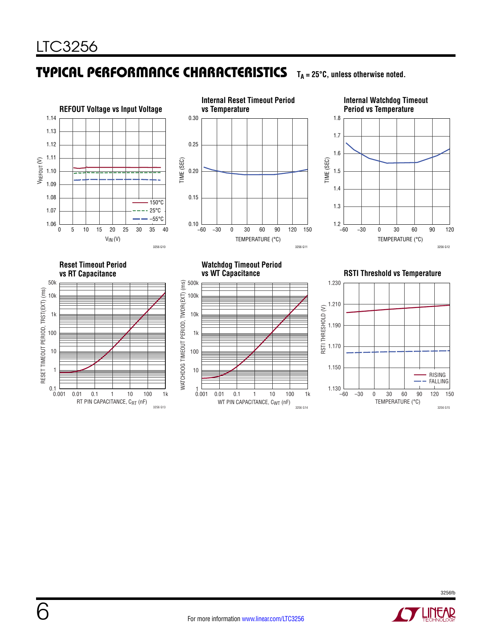#### Typical Performance Characteristics  $T_A = 25^\circ \text{C}$ , unless otherwise noted.



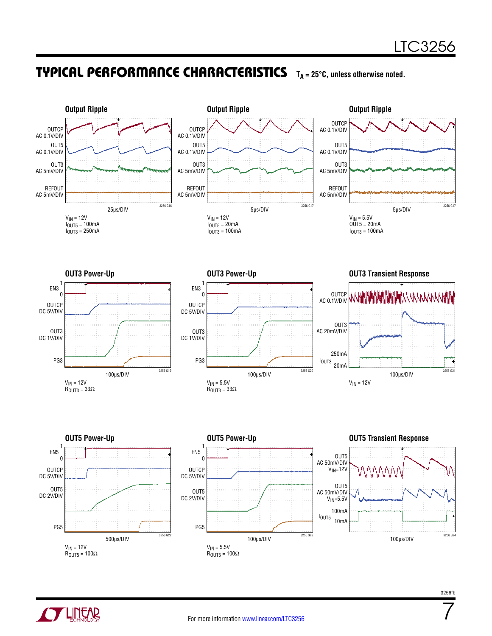### **TYPICAL PERFORMANCE CHARACTERISTICS** TA = 25°C, unless otherwise noted.





7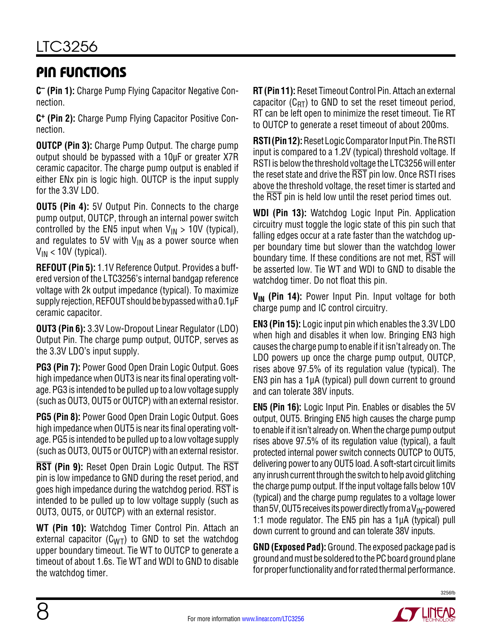### Pin Functions

**C– (Pin 1):** Charge Pump Flying Capacitor Negative Connection.

**C+ (Pin 2):** Charge Pump Flying Capacitor Positive Connection.

**OUTCP (Pin 3):** Charge Pump Output. The charge pump output should be bypassed with a 10µF or greater X7R ceramic capacitor. The charge pump output is enabled if either ENx pin is logic high. OUTCP is the input supply for the 3.3V LDO.

**OUT5 (Pin 4):** 5V Output Pin. Connects to the charge pump output, OUTCP, through an internal power switch controlled by the EN5 input when  $V_{IN} > 10V$  (typical), and regulates to 5V with  $V_{IN}$  as a power source when  $V_{IN}$  < 10V (typical).

**REFOUT (Pin 5):** 1.1V Reference Output. Provides a buffered version of the LTC3256's internal bandgap reference voltage with 2k output impedance (typical). To maximize supply rejection, REFOUT should be bypassed with a  $0.1\mu F$ ceramic capacitor.

**OUT3 (Pin 6):** 3.3V Low-Dropout Linear Regulator (LDO) Output Pin. The charge pump output, OUTCP, serves as the 3.3V LDO's input supply.

**PG3 (Pin 7):** Power Good Open Drain Logic Output. Goes high impedance when OUT3 is near its final operating voltage. PG3 is intended to be pulled up to a lowvoltage supply (such as OUT3, OUT5 or OUTCP) with an external resistor.

**PG5 (Pin 8):** Power Good Open Drain Logic Output. Goes high impedance when OUT5 is near its final operating voltage. PG5 is intended to be pulled up to a lowvoltage supply (such as OUT3, OUT5 or OUTCP) with an external resistor.

**RST (Pin 9):** Reset Open Drain Logic Output. The RST pin is low impedance to GND during the reset period, and goes high impedance during the watchdog period. RST is intended to be pulled up to low voltage supply (such as OUT3, OUT5, or OUTCP) with an external resistor.

**WT (Pin 10):** Watchdog Timer Control Pin. Attach an external capacitor  $(C_{WT})$  to GND to set the watchdog upper boundary timeout. Tie WT to OUTCP to generate a timeout of about 1.6s. Tie WT and WDI to GND to disable the watchdog timer.

**RT (Pin 11):** Reset Timeout Control Pin. Attach an external capacitor  $(C_{RT})$  to GND to set the reset timeout period, RT can be left open to minimize the reset timeout. Tie RT to OUTCP to generate a reset timeout of about 200ms.

**RSTI (Pin 12):** Reset Logic Comparator Input Pin. The RSTI input is compared to a 1.2V (typical) threshold voltage. If RSTI is below the threshold voltage the LTC3256 will enter the reset state and drive the RST pin low. Once RSTI rises above the threshold voltage, the reset timer is started and the  $\overline{\text{RST}}$  pin is held low until the reset period times out.

**WDI (Pin 13):** Watchdog Logic Input Pin. Application circuitry must toggle the logic state of this pin such that falling edges occur at a rate faster than the watchdog upper boundary time but slower than the watchdog lower boundary time. If these conditions are not met, RST will be asserted low. Tie WT and WDI to GND to disable the watchdog timer. Do not float this pin.

V<sub>IN</sub> (Pin 14): Power Input Pin. Input voltage for both charge pump and IC control circuitry.

**EN3 (Pin 15):** Logic input pin which enables the 3.3V LDO when high and disables it when low. Bringing EN3 high causes the charge pump to enable if it isn't already on. The LDO powers up once the charge pump output, OUTCP, rises above 97.5% of its regulation value (typical). The EN3 pin has a 1μA (typical) pull down current to ground and can tolerate 38V inputs.

**EN5 (Pin 16):** Logic Input Pin. Enables or disables the 5V output, OUT5. Bringing EN5 high causes the charge pump to enable if it isn't already on. When the charge pump output rises above 97.5% of its regulation value (typical), a fault protected internal power switch connects OUTCP to OUT5, delivering powerto any OUT5 load. A soft-start circuit limits any inrush current through the switch to help avoid glitching the charge pump output. If the input voltage falls below 10V (typical) and the charge pump regulates to a voltage lower than 5V, OUT5 receives its power directly from a  $V_{IN}$ -powered 1:1 mode regulator. The EN5 pin has a 1μA (typical) pull down current to ground and can tolerate 38V inputs.

**GND (Exposed Pad):** Ground. The exposed package pad is ground and must be soldered to the PC board ground plane for proper functionality and for rated thermal performance.

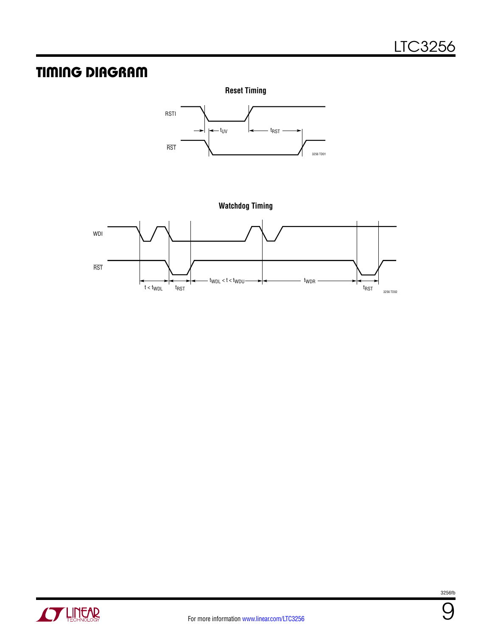### Timing Diagram









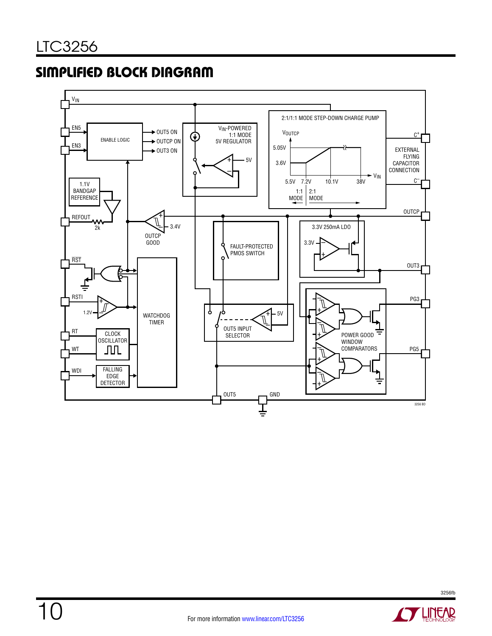## Simplified Block Diagram



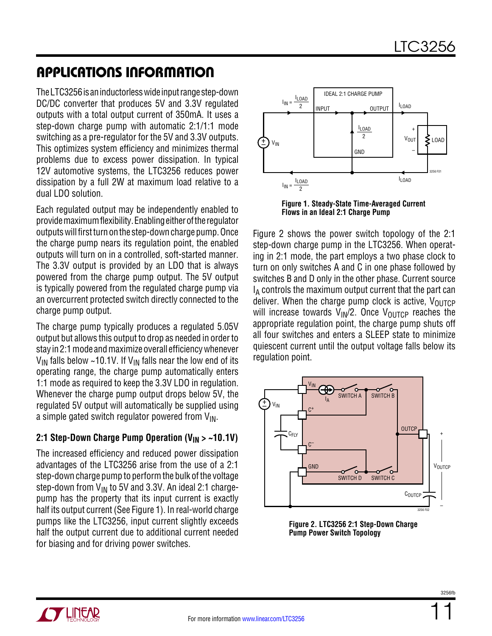TheLTC3256isaninductorlesswideinputrangestep-down DC/DC converter that produces 5V and 3.3V regulated outputs with a total output current of 350mA. It uses a step-down charge pump with automatic 2:1/1:1 mode switching as a pre-regulator for the 5V and 3.3V outputs. This optimizes system efficiency and minimizes thermal problems due to excess power dissipation. In typical 12V automotive systems, the LTC3256 reduces power dissipation by a full 2W at maximum load relative to a dual LDO solution.

Each regulated output may be independently enabled to provide maximum flexibility. Enabling either of the regulator outputs will first turn on the step-down charge pump. Once the charge pump nears its regulation point, the enabled outputs will turn on in a controlled, soft-started manner. The 3.3V output is provided by an LDO that is always powered from the charge pump output. The 5V output is typically powered from the regulated charge pump via an overcurrent protected switch directly connected to the charge pump output.

The charge pump typically produces a regulated 5.05V output but allows this output to drop as needed in order to stay in 2:1 mode and maximize overall efficiency whenever  $V_{IN}$  falls below ~10.1V. If  $V_{IN}$  falls near the low end of its operating range, the charge pump automatically enters 1:1 mode as required to keep the 3.3V LDO in regulation. Whenever the charge pump output drops below 5V, the regulated 5V output will automatically be supplied using a simple gated switch regulator powered from  $V_{IN}$ .

#### 2:1 Step-Down Charge Pump Operation (V<sub>IN</sub> > ~10.1V)

The increased efficiency and reduced power dissipation advantages of the LTC3256 arise from the use of a 2:1 step-down charge pump to perform the bulk of the voltage step-down from  $V_{IN}$  to 5V and 3.3V. An ideal 2:1 chargepump has the property that its input current is exactly half its output current (See Figure 1). In real-world charge pumps like the LTC3256, input current slightly exceeds half the output current due to additional current needed for biasing and for driving power switches.



**Figure 1. Steady-State Time-Averaged Current Flows in an Ideal 2:1 Charge Pump**

Figure 2 shows the power switch topology of the 2:1 step-down charge pump in the LTC3256. When operating in 2:1 mode, the part employs a two phase clock to turn on only switches A and C in one phase followed by switches B and D only in the other phase. Current source  $I_A$  controls the maximum output current that the part can deliver. When the charge pump clock is active,  $V_{\text{OUTCP}}$ will increase towards  $V_{\text{IN}}/2$ . Once  $V_{\text{OUTCP}}$  reaches the appropriate regulation point, the charge pump shuts off all four switches and enters a SLEEP state to minimize quiescent current until the output voltage falls below its regulation point.



**Figure 2. LTC3256 2:1 Step-Down Charge Pump Power Switch Topology**

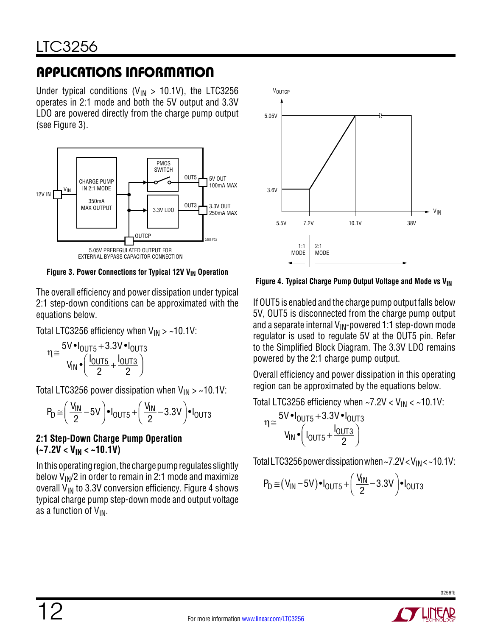Under typical conditions ( $V_{IN} > 10.1V$ ), the LTC3256 operates in 2:1 mode and both the 5V output and 3.3V LDO are powered directly from the charge pump output (see Figure 3).



Figure 3. Power Connections for Typical 12V V<sub>IN</sub> Operation

The overall efficiency and power dissipation under typical 2:1 step-down conditions can be approximated with the equations below.

Total LTC3256 efficiency when  $V_{IN} >$  ~10.1V:

$$
\eta \approx \frac{5\text{V} \cdot I_{\text{OUT5}} + 3.3\text{V} \cdot I_{\text{OUT3}}}{V_{\text{IN}} \cdot \left(\frac{I_{\text{OUT5}}}{2} + \frac{I_{\text{OUT3}}}{2}\right)}
$$

Total LTC3256 power dissipation when  $V_{IN} >$  ~10.1V:

$$
P_D \cong \left(\frac{V_{IN}}{2} - 5V\right) \bullet I_{OUT5} + \left(\frac{V_{IN}}{2} - 3.3V\right) \bullet I_{OUT3}
$$

#### **2:1 Step-Down Charge Pump Operation (~7.2V < VIN < ~10.1V)**

In this operating region, the charge pump regulates slightly below  $V_{IN}/2$  in order to remain in 2:1 mode and maximize overall  $V_{IN}$  to 3.3V conversion efficiency. Figure 4 shows typical charge pump step-down mode and output voltage as a function of  $V_{IN}$ .



Figure 4. Typical Charge Pump Output Voltage and Mode vs V<sub>IN</sub>

If OUT5 is enabled and the charge pump output falls below 5V, OUT5 is disconnected from the charge pump output and a separate internal  $V_{\text{IN}}$ -powered 1:1 step-down mode regulator is used to regulate 5V at the OUT5 pin. Refer to the Simplified Block Diagram. The 3.3V LDO remains powered by the 2:1 charge pump output.

Overall efficiency and power dissipation in this operating region can be approximated by the equations below.

Total LTC3256 efficiency when  $\sim$ 7.2V < V<sub>IN</sub> <  $\sim$ 10.1V:

$$
\eta \approx \frac{5V \cdot I_{\text{OUT5}} + 3.3V \cdot I_{\text{OUT3}}}{V_{\text{IN}} \cdot \left(I_{\text{OUT5}} + \frac{I_{\text{OUT3}}}{2}\right)}
$$

Total LTC3256 power dissipation when ~7.2V <  $V_{IN}$  < ~10.1V:

$$
P_D \approx (V_{IN} - 5V) \cdot I_{OUT5} + (\frac{V_{IN}}{2} - 3.3V) \cdot I_{OUT3}
$$

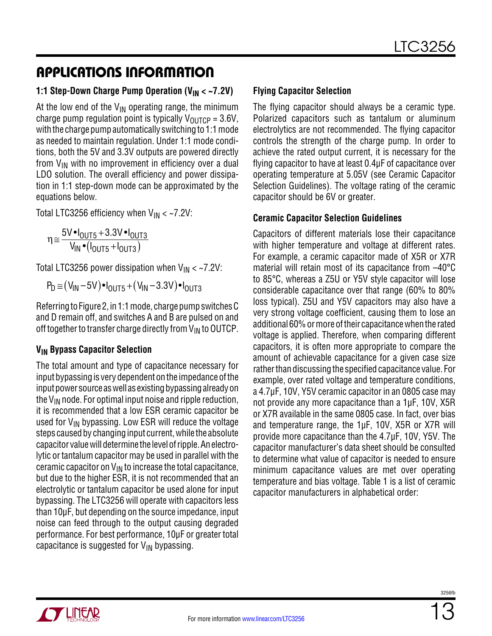#### **1:1 Step-Down Charge Pump Operation (V<sub>IN</sub> < ~7.2V)**

At the low end of the  $V_{IN}$  operating range, the minimum charge pump regulation point is typically  $V_{\text{OUTCP}} = 3.6V$ , with the charge pump automatically switching to 1:1 mode as needed to maintain regulation. Under 1:1 mode conditions, both the 5V and 3.3V outputs are powered directly from  $V_{IN}$  with no improvement in efficiency over a dual LDO solution. The overall efficiency and power dissipation in 1:1 step-down mode can be approximated by the equations below.

Total LTC3256 efficiency when  $V_{IN} < -7.2V$ :

$$
\eta \approx \frac{5V \cdot I_{OUT5} + 3.3V \cdot I_{OUT3}}{V_{IN} \cdot (I_{OUT5} + I_{OUT3})}
$$

Total LTC3256 power dissipation when  $V_{IN} <$  ~7.2V:

 $P_D \cong (V_{IN} - 5V) \bullet I_{OUT5} + (V_{IN} - 3.3V) \bullet I_{OUT3}$ 

Referring to Figure 2, in 1:1 mode, charge pump switches C and D remain off, and switches A and B are pulsed on and off together to transfer charge directly from  $V_{IN}$  to OUTCP.

#### **VIN Bypass Capacitor Selection**

The total amount and type of capacitance necessary for input bypassing is very dependent on the impedance of the input power source as well as existing bypassing already on the  $V_{IN}$  node. For optimal input noise and ripple reduction, it is recommended that a low ESR ceramic capacitor be used for  $V_{IN}$  bypassing. Low ESR will reduce the voltage steps caused by changing input current, while the absolute capacitor valuewilldetermine the levelofripple. Anelectrolytic or tantalum capacitor may be used in parallel with the ceramic capacitor on  $V_{IN}$  to increase the total capacitance, but due to the higher ESR, it is not recommended that an electrolytic or tantalum capacitor be used alone for input bypassing. The LTC3256 will operate with capacitors less than 10μF, but depending on the source impedance, input noise can feed through to the output causing degraded performance. For best performance, 10μF or greater total capacitance is suggested for  $V_{IN}$  bypassing.

#### **Flying Capacitor Selection**

The flying capacitor should always be a ceramic type. Polarized capacitors such as tantalum or aluminum electrolytics are not recommended. The flying capacitor controls the strength of the charge pump. In order to achieve the rated output current, it is necessary for the flying capacitor to have at least 0.4μF of capacitance over operating temperature at 5.05V (see Ceramic Capacitor Selection Guidelines). The voltage rating of the ceramic capacitor should be 6V or greater.

#### **Ceramic Capacitor Selection Guidelines**

Capacitors of different materials lose their capacitance with higher temperature and voltage at different rates. For example, a ceramic capacitor made of X5R or X7R material will retain most of its capacitance from –40°C to 85°C, whereas a Z5U or Y5V style capacitor will lose considerable capacitance over that range (60% to 80% loss typical). Z5U and Y5V capacitors may also have a very strong voltage coefficient, causing them to lose an additional 60% ormoreoftheir capacitancewhenthe rated voltage is applied. Therefore, when comparing different capacitors, it is often more appropriate to compare the amount of achievable capacitance for a given case size rather than discussing the specified capacitance value. For example, over rated voltage and temperature conditions, a 4.7μF, 10V, Y5V ceramic capacitor in an 0805 case may not provide any more capacitance than a 1μF, 10V, X5R or X7R available in the same 0805 case. In fact, over bias and temperature range, the 1μF, 10V, X5R or X7R will provide more capacitance than the 4.7μF, 10V, Y5V. The capacitor manufacturer's data sheet should be consulted to determine what value of capacitor is needed to ensure minimum capacitance values are met over operating temperature and bias voltage. Table 1 is a list of ceramic capacitor manufacturers in alphabetical order:

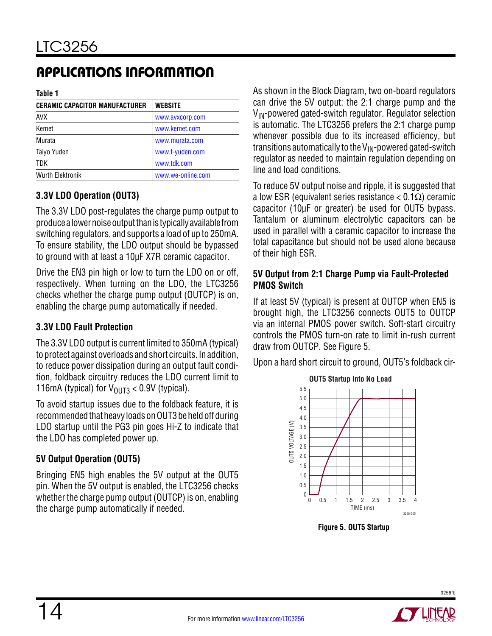**Table 1**

| <b>CERAMIC CAPACITOR MANUFACTURER</b> | <b>WEBSITE</b>    |
|---------------------------------------|-------------------|
| <b>AVX</b>                            | www.avxcorp.com   |
| Kemet                                 | www.kemet.com     |
| Murata                                | www.murata.com    |
| Taiyo Yuden                           | www.t-yuden.com   |
| <b>TDK</b>                            | www.tdk.com       |
| <b>Wurth Elektronik</b>               | www.we-online.com |

### **3.3V LDO Operation (OUT3)**

The 3.3V LDO post-regulates the charge pump output to produce a lower noise output than is typically available from switching regulators, and supports a load of up to 250mA. To ensure stability, the LDO output should be bypassed to ground with at least a 10µF X7R ceramic capacitor.

Drive the EN3 pin high or low to turn the LDO on or off, respectively. When turning on the LDO, the LTC3256 checks whether the charge pump output (OUTCP) is on, enabling the charge pump automatically if needed.

#### **3.3V LDO Fault Protection**

The 3.3V LDO output is current limited to 350mA (typical) to protect against overloads and short circuits. In addition, to reduce power dissipation during an output fault condition, foldback circuitry reduces the LDO current limit to 116mA (typical) for  $V_{OUT3}$  < 0.9V (typical).

To avoid startup issues due to the foldback feature, it is recommended that heavy loads on OUT3 be held off during LDO startup until the PG3 pin goes Hi-Z to indicate that the LDO has completed power up.

#### **5V Output Operation (OUT5)**

Bringing EN5 high enables the 5V output at the OUT5 pin. When the 5V output is enabled, the LTC3256 checks whether the charge pump output (OUTCP) is on, enabling the charge pump automatically if needed.

As shown in the Block Diagram, two on-board regulators can drive the 5V output: the 2:1 charge pump and the  $V_{IN}$ -powered gated-switch regulator. Regulator selection is automatic. The LTC3256 prefers the 2:1 charge pump whenever possible due to its increased efficiency, but transitions automatically to the  $V_{IN}$ -powered gated-switch regulator as needed to maintain regulation depending on line and load conditions.

To reduce 5V output noise and ripple, it is suggested that a low ESR (equivalent series resistance < 0.1Ω) ceramic capacitor (10μF or greater) be used for OUT5 bypass. Tantalum or aluminum electrolytic capacitors can be used in parallel with a ceramic capacitor to increase the total capacitance but should not be used alone because of their high ESR.

#### **5V Output from 2:1 Charge Pump via Fault-Protected PMOS Switch**

If at least 5V (typical) is present at OUTCP when EN5 is brought high, the LTC3256 connects OUT5 to OUTCP via an internal PMOS power switch. Soft-start circuitry controls the PMOS turn-on rate to limit in-rush current draw from OUTCP. See Figure 5.

Upon a hard short circuit to ground, OUT5's foldback cir-



**Figure 5. OUT5 Startup**

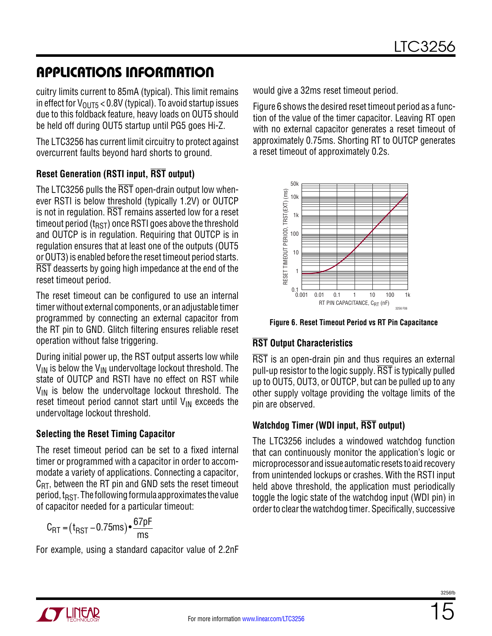cuitry limits current to 85mA (typical). This limit remains in effect for  $V_{OUT5}$  < 0.8V (typical). To avoid startup issues due to this foldback feature, heavy loads on OUT5 should be held off during OUT5 startup until PG5 goes Hi-Z.

The LTC3256 has current limit circuitry to protect against overcurrent faults beyond hard shorts to ground.

#### **Reset Generation (RSTI input, RST output)**

The LTC3256 pulls the RST open-drain output low whenever RSTI is below threshold (typically 1.2V) or OUTCP is not in regulation. RST remains asserted low for a reset timeout period ( $t_{RST}$ ) once RSTI goes above the threshold and OUTCP is in regulation. Requiring that OUTCP is in regulation ensures that at least one of the outputs (OUT5 or OUT3) is enabled before the reset timeout period starts. RST deasserts by going high impedance at the end of the reset timeout period.

The reset timeout can be configured to use an internal timer without external components, or an adjustable timer programmed by connecting an external capacitor from the RT pin to GND. Glitch filtering ensures reliable reset operation without false triggering.

During initial power up, the RST output asserts low while  $V_{IN}$  is below the  $V_{IN}$  undervoltage lockout threshold. The state of OUTCP and RSTI have no effect on RST while  $V_{IN}$  is below the undervoltage lockout threshold. The reset timeout period cannot start until  $V_{IN}$  exceeds the undervoltage lockout threshold.

#### **Selecting the Reset Timing Capacitor**

The reset timeout period can be set to a fixed internal timer or programmed with a capacitor in order to accommodate a variety of applications. Connecting a capacitor,  $C_{\text{RT}}$ , between the RT pin and GND sets the reset timeout period,  $t_{RST}$ . The following formula approximates the value of capacitor needed for a particular timeout:

$$
C_{RT} = (t_{RST} - 0.75ms) \cdot \frac{67pF}{ms}
$$

For example, using a standard capacitor value of 2.2nF

would give a 32ms reset timeout period.

Figure 6 shows the desired reset timeout period as a function of the value of the timer capacitor. Leaving RT open with no external capacitor generates a reset timeout of approximately 0.75ms. Shorting RT to OUTCP generates a reset timeout of approximately 0.2s.



**Figure 6. Reset Timeout Period vs RT Pin Capacitance**

### **RST Output Characteristics**

RST is an open-drain pin and thus requires an external pull-up resistor to the logic supply.  $\overline{RST}$  is typically pulled up to OUT5, OUT3, or OUTCP, but can be pulled up to any other supply voltage providing the voltage limits of the pin are observed.

### **Watchdog Timer (WDI input, RST output)**

The LTC3256 includes a windowed watchdog function that can continuously monitor the application's logic or microprocessor and issue automatic resets to aid recovery from unintended lockups or crashes. With the RSTI input held above threshold, the application must periodically toggle the logic state of the watchdog input (WDI pin) in order to clear the watchdog timer. Specifically, successive

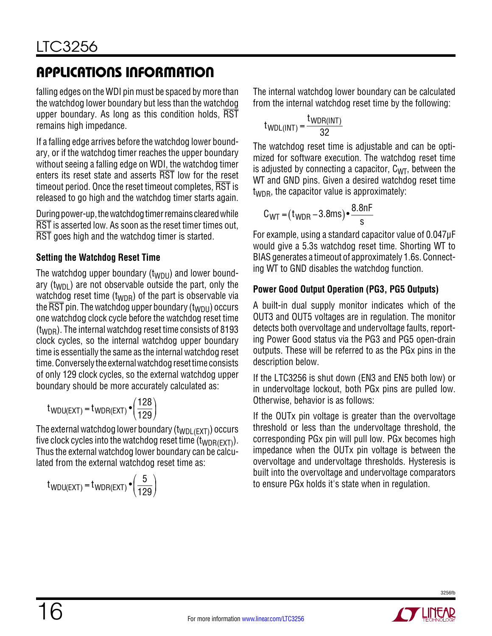falling edges on the WDI pin must be spaced by more than the watchdog lower boundary but less than the watchdog upper boundary. As long as this condition holds, RST remains high impedance.

If a falling edge arrives before the watchdog lower boundary, or if the watchdog timer reaches the upper boundary without seeing a falling edge on WDI, the watchdog timer enters its reset state and asserts RST low for the reset timeout period. Once the reset timeout completes, RST is released to go high and the watchdog timer starts again.

During power-up, the watchdog timer remains cleared while RST is asserted low. As soon as the reset timer times out, RST goes high and the watchdog timer is started.

### **Setting the Watchdog Reset Time**

The watchdog upper boundary  $(t_{WDU})$  and lower boundary  $(t_{WDI})$  are not observable outside the part, only the watchdog reset time  $(t_{WDR})$  of the part is observable via the  $\overline{\text{RST}}$  pin. The watchdog upper boundary (t<sub>WDU</sub>) occurs one watchdog clock cycle before the watchdog reset time  $(t_{\text{WDR}})$ . The internal watchdog reset time consists of 8193 clock cycles, so the internal watchdog upper boundary time is essentially the same as the internal watchdog reset time. Conversely the external watchdog reset time consists of only 129 clock cycles, so the external watchdog upper boundary should be more accurately calculated as:

$$
t_{WDU(EXT)} = t_{WDR(EXT)} \cdot \left(\frac{128}{129}\right)
$$

The external watchdog lower boundary  $(t_{WDL(FXT)})$  occurs five clock cycles into the watchdog reset time  $(t_{WDR(EXT)})$ . Thus the external watchdog lower boundary can be calculated from the external watchdog reset time as:

$$
t_{WDU(EXT)} = t_{WDR(EXT)} \cdot \left(\frac{5}{129}\right)
$$

The internal watchdog lower boundary can be calculated from the internal watchdog reset time by the following:

$$
t_{WDL(INT)} = \frac{t_{WDR(INT)}}{32}
$$

The watchdog reset time is adjustable and can be optimized for software execution. The watchdog reset time is adjusted by connecting a capacitor,  $C_{\text{WT}}$ , between the WT and GND pins. Given a desired watchdog reset time  $t_{\text{WDR}}$ , the capacitor value is approximately:

$$
C_{\text{WT}} = (t_{\text{WDR}} - 3.8 \text{ms}) \cdot \frac{8.8 \text{nF}}{\text{s}}
$$

For example, using a standard capacitor value of 0.047μF would give a 5.3s watchdog reset time. Shorting WT to BIAS generates a timeout of approximately 1.6s. Connecting WT to GND disables the watchdog function.

### **Power Good Output Operation (PG3, PG5 Outputs)**

A built-in dual supply monitor indicates which of the OUT3 and OUT5 voltages are in regulation. The monitor detects both overvoltage and undervoltage faults, reporting Power Good status via the PG3 and PG5 open-drain outputs. These will be referred to as the PGx pins in the description below.

If the LTC3256 is shut down (EN3 and EN5 both low) or in undervoltage lockout, both PGx pins are pulled low. Otherwise, behavior is as follows:

If the OUTx pin voltage is greater than the overvoltage threshold or less than the undervoltage threshold, the corresponding PGx pin will pull low. PGx becomes high impedance when the OUTx pin voltage is between the overvoltage and undervoltage thresholds. Hysteresis is built into the overvoltage and undervoltage comparators to ensure PGx holds it's state when in regulation.

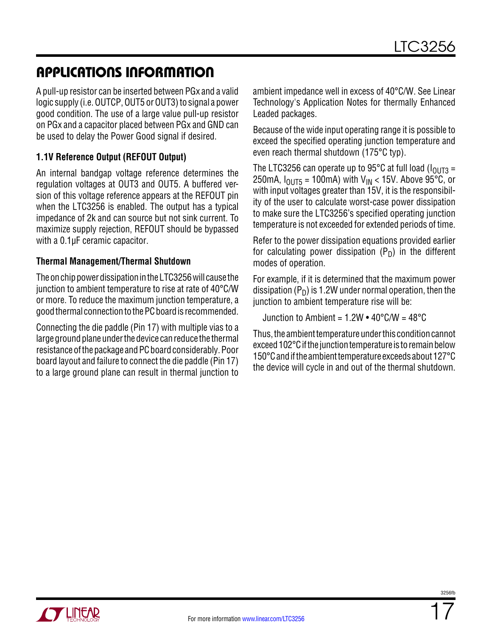A pull-up resistor can be inserted between PGx and a valid logic supply (i.e. OUTCP, OUT5 or OUT3) to signal a power good condition. The use of a large value pull-up resistor on PGx and a capacitor placed between PGx and GND can be used to delay the Power Good signal if desired.

#### **1.1V Reference Output (REFOUT Output)**

An internal bandgap voltage reference determines the regulation voltages at OUT3 and OUT5. A buffered version of this voltage reference appears at the REFOUT pin when the LTC3256 is enabled. The output has a typical impedance of 2k and can source but not sink current. To maximize supply rejection, REFOUT should be bypassed with a 0.1µF ceramic capacitor.

#### **Thermal Management/Thermal Shutdown**

The on chip power dissipation in the LTC3256 will cause the junction to ambient temperature to rise at rate of 40°C/W or more. To reduce the maximum junction temperature, a goodthermal connectiontothePCboardis recommended.

Connecting the die paddle (Pin 17) with multiple vias to a large ground plane under the device can reduce the thermal resistance of the package and PC board considerably. Poor board layout and failure to connect the die paddle (Pin 17) to a large ground plane can result in thermal junction to

ambient impedance well in excess of 40°C/W. See Linear Technology's Application Notes for thermally Enhanced Leaded packages.

Because of the wide input operating range it is possible to exceed the specified operating junction temperature and even reach thermal shutdown (175°C typ).

The LTC3256 can operate up to 95 $^{\circ}$ C at full load ( $I_{\Omega IIT3}$  = 250mA,  $I_{OIII5}$  = 100mA) with  $V_{IN}$  < 15V. Above 95°C, or with input voltages greater than 15V, it is the responsibility of the user to calculate worst-case power dissipation to make sure the LTC3256's specified operating junction temperature is not exceeded for extended periods of time.

Refer to the power dissipation equations provided earlier for calculating power dissipation  $(P_D)$  in the different modes of operation.

For example, if it is determined that the maximum power dissipation ( $P_D$ ) is 1.2W under normal operation, then the junction to ambient temperature rise will be:

Junction to Ambient =  $1.2W \cdot 40^{\circ}$ C/W =  $48^{\circ}$ C

Thus, the ambient temperature under this condition cannot exceed 102°C if the junction temperature is to remain below 150°C and if the ambient temperature exceeds about 127°C the device will cycle in and out of the thermal shutdown.

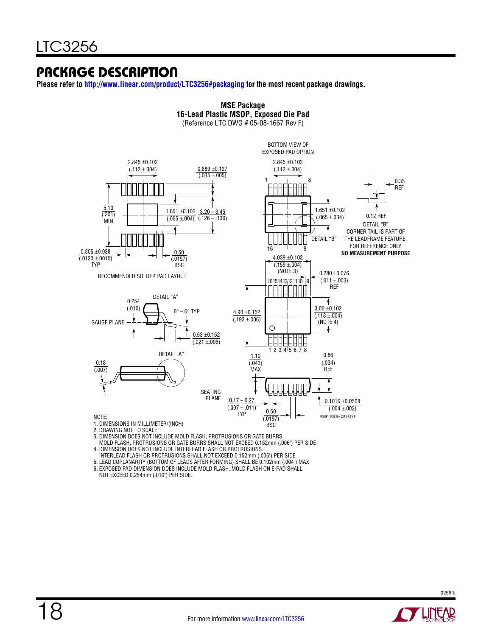### Package Description

**Please refer to <http://www.linear.com/product/LTC3256#packaging> for the most recent package drawings.**



**MSE Package**

3. DIMENSION DOES NOT INCLUDE MOLD FLASH, PROTRUSIONS OR GATE BURRS.

 MOLD FLASH, PROTRUSIONS OR GATE BURRS SHALL NOT EXCEED 0.152mm (.006") PER SIDE 4. DIMENSION DOES NOT INCLUDE INTERLEAD FLASH OR PROTRUSIONS.

- INTERLEAD FLASH OR PROTRUSIONS SHALL NOT EXCEED 0.152mm (.006") PER SIDE
- 5. LEAD COPLANARITY (BOTTOM OF LEADS AFTER FORMING) SHALL BE 0.102mm (.004") MAX

6. EXPOSED PAD DIMENSION DOES INCLUDE MOLD FLASH. MOLD FLASH ON E-PAD SHALL

NOT EXCEED 0.254mm (.010") PER SIDE.

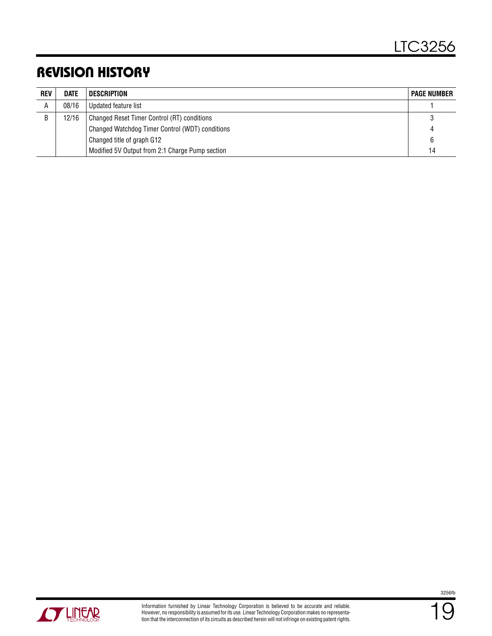### Revision History

| <b>REV</b> | <b>DATE</b> | DESCRIPTION                                     | <b>PAGE NUMBER</b> |
|------------|-------------|-------------------------------------------------|--------------------|
| A          | 08/16       | Updated feature list                            |                    |
| B          | 12/16       | Changed Reset Timer Control (RT) conditions     |                    |
|            |             | Changed Watchdog Timer Control (WDT) conditions |                    |
|            |             | Changed title of graph G12                      | 6                  |
|            |             | Modified 5V Output from 2:1 Charge Pump section | 14                 |